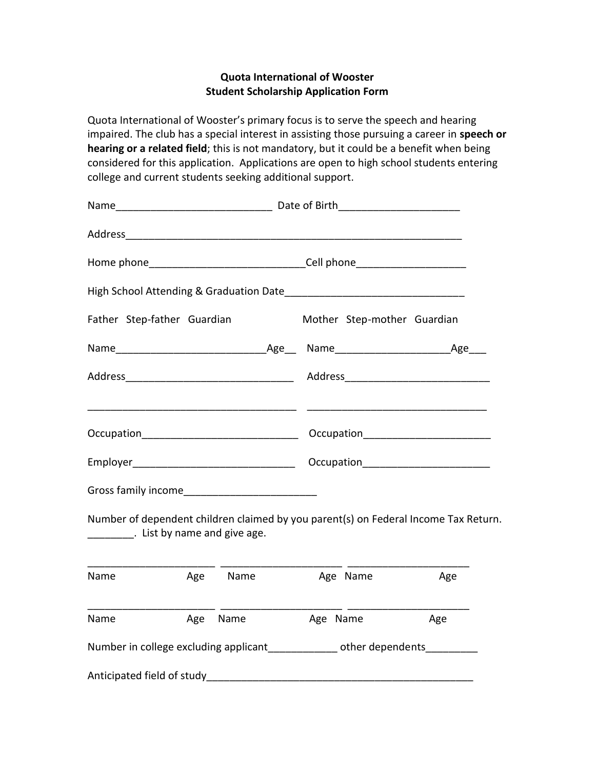## **Quota International of Wooster Student Scholarship Application Form**

Quota International of Wooster's primary focus is to serve the speech and hearing impaired. The club has a special interest in assisting those pursuing a career in **speech or hearing or a related field**; this is not mandatory, but it could be a benefit when being considered for this application. Applications are open to high school students entering college and current students seeking additional support.

| Father Step-father Guardian                                                                                    |     |          |          | Mother Step-mother Guardian |                                                                                     |
|----------------------------------------------------------------------------------------------------------------|-----|----------|----------|-----------------------------|-------------------------------------------------------------------------------------|
|                                                                                                                |     |          |          |                             |                                                                                     |
|                                                                                                                |     |          |          |                             |                                                                                     |
|                                                                                                                |     |          |          |                             |                                                                                     |
|                                                                                                                |     |          |          |                             |                                                                                     |
|                                                                                                                |     |          |          |                             |                                                                                     |
|                                                                                                                |     |          |          |                             |                                                                                     |
| List by name and give age.                                                                                     |     |          |          |                             | Number of dependent children claimed by you parent(s) on Federal Income Tax Return. |
| Name                                                                                                           | Age | Name     |          | Age Name                    | Age                                                                                 |
| Name                                                                                                           |     | Age Name | Age Name |                             | Age                                                                                 |
| Number in college excluding applicant_____________ other dependents__________                                  |     |          |          |                             |                                                                                     |
| Anticipated field of study and a study and a study and a study and a study and a study and a study and a study |     |          |          |                             |                                                                                     |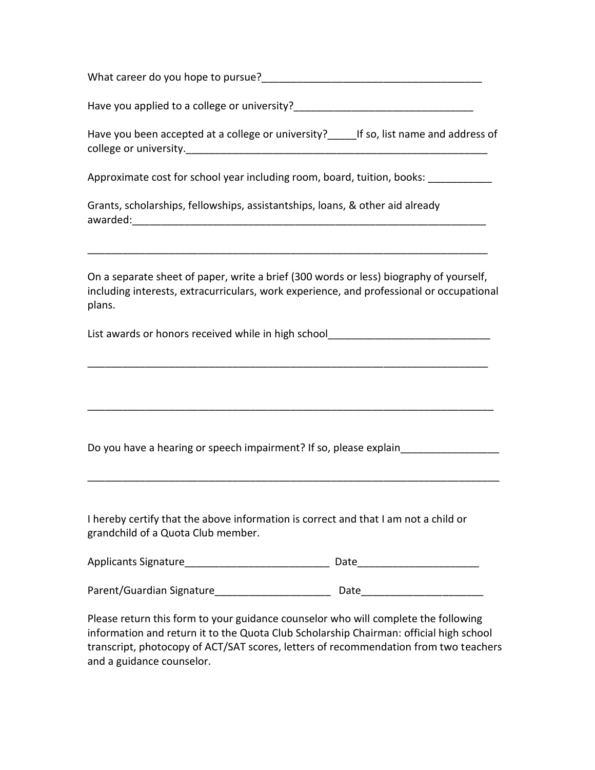| What career do you hope to pursue? |  |
|------------------------------------|--|
|------------------------------------|--|

Have you applied to a college or university?

| Have you been accepted at a college or university? | If so, list name and address of |
|----------------------------------------------------|---------------------------------|
| college or university.                             |                                 |

Approximate cost for school year including room, board, tuition, books: \_\_\_\_\_\_\_\_\_\_\_

Grants, scholarships, fellowships, assistantships, loans, & other aid already awarded: when the set of the set of the set of the set of the set of the set of the set of the set of the set o

On a separate sheet of paper, write a brief (300 words or less) biography of yourself, including interests, extracurriculars, work experience, and professional or occupational plans.

\_\_\_\_\_\_\_\_\_\_\_\_\_\_\_\_\_\_\_\_\_\_\_\_\_\_\_\_\_\_\_\_\_\_\_\_\_\_\_\_\_\_\_\_\_\_\_\_\_\_\_\_\_\_\_\_\_\_\_\_\_\_\_\_\_\_\_\_\_

\_\_\_\_\_\_\_\_\_\_\_\_\_\_\_\_\_\_\_\_\_\_\_\_\_\_\_\_\_\_\_\_\_\_\_\_\_\_\_\_\_\_\_\_\_\_\_\_\_\_\_\_\_\_\_\_\_\_\_\_\_\_\_\_\_\_\_\_\_\_

\_\_\_\_\_\_\_\_\_\_\_\_\_\_\_\_\_\_\_\_\_\_\_\_\_\_\_\_\_\_\_\_\_\_\_\_\_\_\_\_\_\_\_\_\_\_\_\_\_\_\_\_\_\_\_\_\_\_\_\_\_\_\_\_\_\_\_\_\_\_\_

\_\_\_\_\_\_\_\_\_\_\_\_\_\_\_\_\_\_\_\_\_\_\_\_\_\_\_\_\_\_\_\_\_\_\_\_\_\_\_\_\_\_\_\_\_\_\_\_\_\_\_\_\_\_\_\_\_\_\_\_\_\_\_\_\_\_\_\_\_

List awards or honors received while in high school\_\_\_\_\_\_\_\_\_\_\_\_\_\_\_\_\_\_\_\_\_\_\_\_\_\_\_\_\_

Do you have a hearing or speech impairment? If so, please explain\_\_\_\_\_\_\_\_\_\_\_\_\_\_\_\_\_

I hereby certify that the above information is correct and that I am not a child or grandchild of a Quota Club member.

| <b>Applicants Signature</b> | Date |
|-----------------------------|------|
|                             |      |

| Parent/Guardian Signature | Date |
|---------------------------|------|
|---------------------------|------|

Please return this form to your guidance counselor who will complete the following information and return it to the Quota Club Scholarship Chairman: official high school transcript, photocopy of ACT/SAT scores, letters of recommendation from two teachers and a guidance counselor.